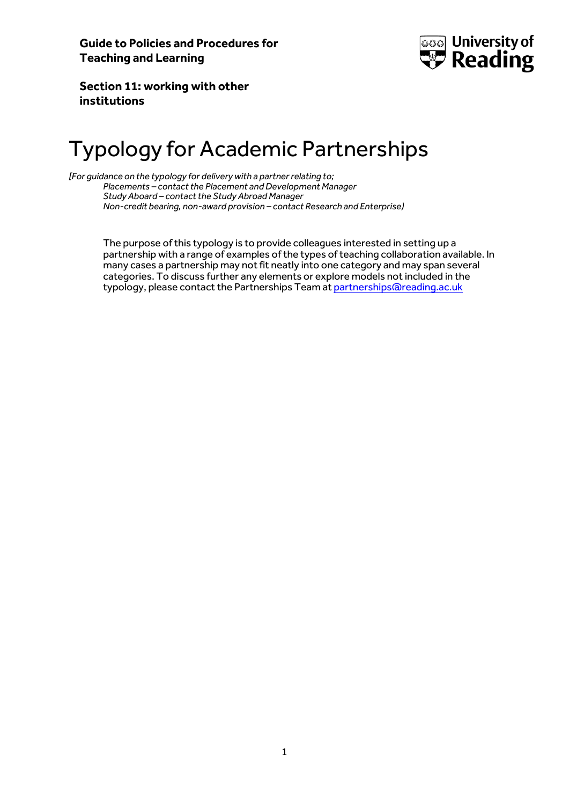

**Section 11: working with other institutions**

## Typology for Academic Partnerships

*[For guidance on the typology for delivery with a partner relating to; Placements – contact the Placement and Development Manager Study Aboard – contact the Study Abroad Manager Non-credit bearing, non-award provision – contact Research and Enterprise)*

> The purpose of this typology is to provide colleagues interested in setting up a partnership with a range of examples of the types of teaching collaboration available. In many cases a partnership may not fit neatly into one category and may span several categories. To discuss further any elements or explore models not included in the typology, please contact the Partnerships Team a[t partnerships@reading.ac.uk](mailto:partnerships@reading.ac.uk)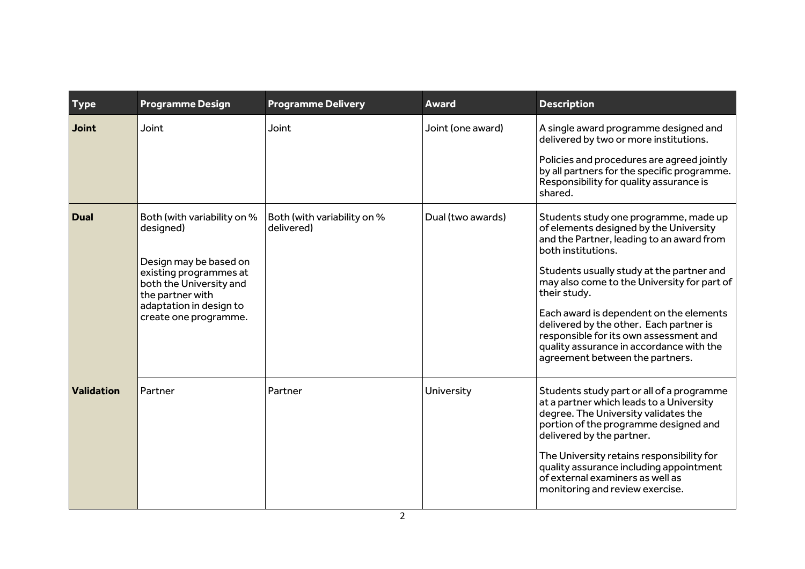| <b>Type</b>       | <b>Programme Design</b>                                                                                                                                                                         | <b>Programme Delivery</b>                 | <b>Award</b>      | <b>Description</b>                                                                                                                                                                                                                                                                                                                                                                                                                                                            |
|-------------------|-------------------------------------------------------------------------------------------------------------------------------------------------------------------------------------------------|-------------------------------------------|-------------------|-------------------------------------------------------------------------------------------------------------------------------------------------------------------------------------------------------------------------------------------------------------------------------------------------------------------------------------------------------------------------------------------------------------------------------------------------------------------------------|
| <b>Joint</b>      | Joint                                                                                                                                                                                           | Joint                                     | Joint (one award) | A single award programme designed and<br>delivered by two or more institutions.<br>Policies and procedures are agreed jointly<br>by all partners for the specific programme.<br>Responsibility for quality assurance is<br>shared.                                                                                                                                                                                                                                            |
| <b>Dual</b>       | Both (with variability on %<br>designed)<br>Design may be based on<br>existing programmes at<br>both the University and<br>the partner with<br>adaptation in design to<br>create one programme. | Both (with variability on %<br>delivered) | Dual (two awards) | Students study one programme, made up<br>of elements designed by the University<br>and the Partner, leading to an award from<br>both institutions.<br>Students usually study at the partner and<br>may also come to the University for part of<br>their study.<br>Each award is dependent on the elements<br>delivered by the other. Each partner is<br>responsible for its own assessment and<br>quality assurance in accordance with the<br>agreement between the partners. |
| <b>Validation</b> | Partner                                                                                                                                                                                         | Partner                                   | University        | Students study part or all of a programme<br>at a partner which leads to a University<br>degree. The University validates the<br>portion of the programme designed and<br>delivered by the partner.<br>The University retains responsibility for<br>quality assurance including appointment<br>of external examiners as well as<br>monitoring and review exercise.                                                                                                            |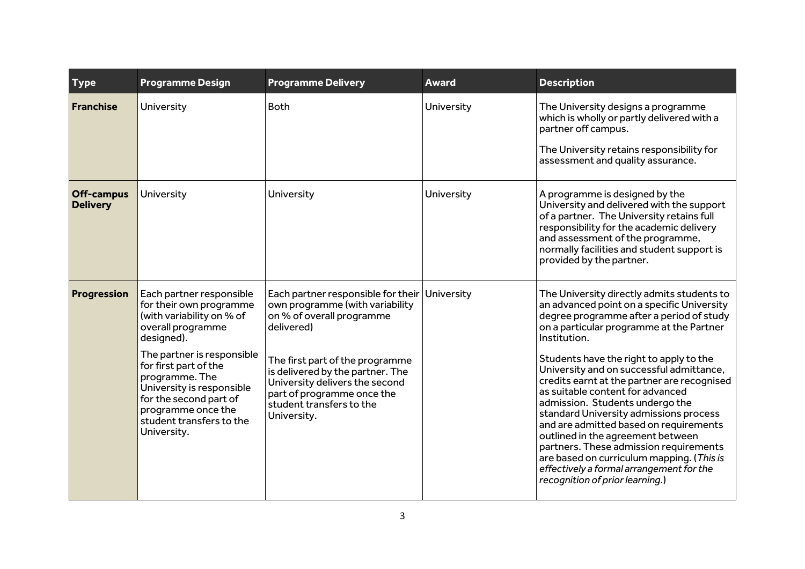| <b>Type</b>                          | <b>Programme Design</b>                                                                                                                                                                                                                                                                                              | <b>Programme Delivery</b>                                                                                                                                                                                                                                                                          | Award      | <b>Description</b>                                                                                                                                                                                                                                                                                                                                                                                                                                                                                                                                                                                                                                                                                           |
|--------------------------------------|----------------------------------------------------------------------------------------------------------------------------------------------------------------------------------------------------------------------------------------------------------------------------------------------------------------------|----------------------------------------------------------------------------------------------------------------------------------------------------------------------------------------------------------------------------------------------------------------------------------------------------|------------|--------------------------------------------------------------------------------------------------------------------------------------------------------------------------------------------------------------------------------------------------------------------------------------------------------------------------------------------------------------------------------------------------------------------------------------------------------------------------------------------------------------------------------------------------------------------------------------------------------------------------------------------------------------------------------------------------------------|
| Franchise                            | University                                                                                                                                                                                                                                                                                                           | <b>Both</b>                                                                                                                                                                                                                                                                                        | University | The University designs a programme<br>which is wholly or partly delivered with a<br>partner off campus.<br>The University retains responsibility for<br>assessment and quality assurance.                                                                                                                                                                                                                                                                                                                                                                                                                                                                                                                    |
| <b>Off-campus</b><br><b>Delivery</b> | University                                                                                                                                                                                                                                                                                                           | University                                                                                                                                                                                                                                                                                         | University | A programme is designed by the<br>University and delivered with the support<br>of a partner. The University retains full<br>responsibility for the academic delivery<br>and assessment of the programme,<br>normally facilities and student support is<br>provided by the partner.                                                                                                                                                                                                                                                                                                                                                                                                                           |
| Progression                          | Each partner responsible<br>for their own programme<br>(with variability on % of<br>overall programme<br>designed).<br>The partner is responsible<br>for first part of the<br>programme. The<br>University is responsible<br>for the second part of<br>programme once the<br>student transfers to the<br>University. | Each partner responsible for their<br>own programme (with variability<br>on % of overall programme<br>delivered)<br>The first part of the programme<br>is delivered by the partner. The<br>University delivers the second<br>part of programme once the<br>student transfers to the<br>University. | University | The University directly admits students to<br>an advanced point on a specific University<br>degree programme after a period of study<br>on a particular programme at the Partner<br>Institution.<br>Students have the right to apply to the<br>University and on successful admittance,<br>credits earnt at the partner are recognised<br>as suitable content for advanced<br>admission. Students undergo the<br>standard University admissions process<br>and are admitted based on requirements<br>outlined in the agreement between<br>partners. These admission requirements<br>are based on curriculum mapping. (This is<br>effectively a formal arrangement for the<br>recognition of prior learning.) |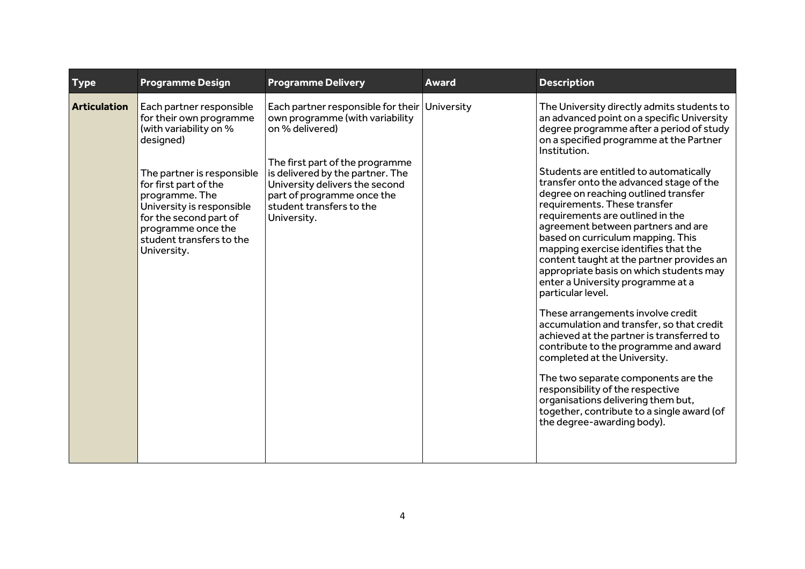| <b>Type</b>         | <b>Programme Design</b>                                                                                                                                                                                                                                                                     | <b>Programme Delivery</b>                                                                                                                                                                                                                                                             | <b>Award</b> | <b>Description</b>                                                                                                                                                                                                                                                                                                                                                                                                                                                                                                                                                                                                                                                                                                                                                                                                                                                                                                                                                                                                                                                         |
|---------------------|---------------------------------------------------------------------------------------------------------------------------------------------------------------------------------------------------------------------------------------------------------------------------------------------|---------------------------------------------------------------------------------------------------------------------------------------------------------------------------------------------------------------------------------------------------------------------------------------|--------------|----------------------------------------------------------------------------------------------------------------------------------------------------------------------------------------------------------------------------------------------------------------------------------------------------------------------------------------------------------------------------------------------------------------------------------------------------------------------------------------------------------------------------------------------------------------------------------------------------------------------------------------------------------------------------------------------------------------------------------------------------------------------------------------------------------------------------------------------------------------------------------------------------------------------------------------------------------------------------------------------------------------------------------------------------------------------------|
| <b>Articulation</b> | Each partner responsible<br>for their own programme<br>(with variability on %<br>designed)<br>The partner is responsible<br>for first part of the<br>programme. The<br>University is responsible<br>for the second part of<br>programme once the<br>student transfers to the<br>University. | Each partner responsible for their University<br>own programme (with variability<br>on % delivered)<br>The first part of the programme<br>is delivered by the partner. The<br>University delivers the second<br>part of programme once the<br>student transfers to the<br>University. |              | The University directly admits students to<br>an advanced point on a specific University<br>degree programme after a period of study<br>on a specified programme at the Partner<br>Institution.<br>Students are entitled to automatically<br>transfer onto the advanced stage of the<br>degree on reaching outlined transfer<br>requirements. These transfer<br>requirements are outlined in the<br>agreement between partners and are<br>based on curriculum mapping. This<br>mapping exercise identifies that the<br>content taught at the partner provides an<br>appropriate basis on which students may<br>enter a University programme at a<br>particular level.<br>These arrangements involve credit<br>accumulation and transfer, so that credit<br>achieved at the partner is transferred to<br>contribute to the programme and award<br>completed at the University.<br>The two separate components are the<br>responsibility of the respective<br>organisations delivering them but,<br>together, contribute to a single award (of<br>the degree-awarding body). |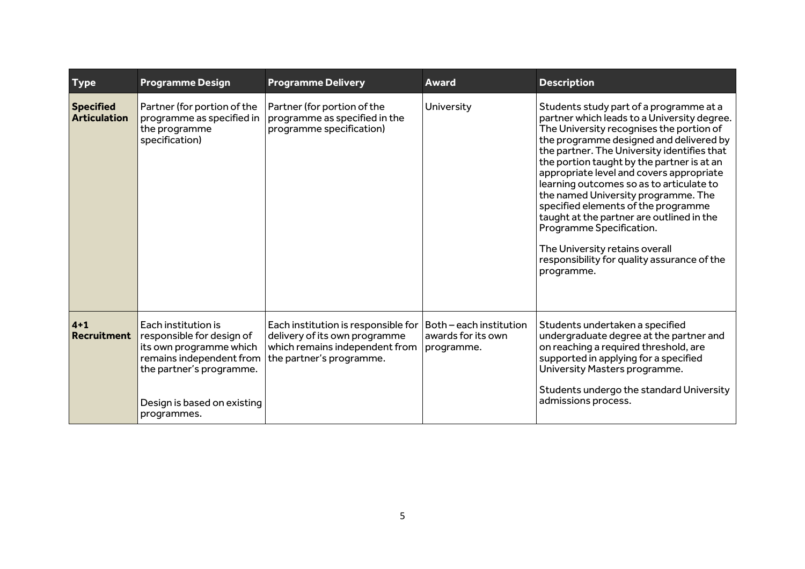| <b>Type</b>                             | <b>Programme Design</b>                                                                                                                                                           | <b>Programme Delivery</b>                                                                                                          | Award                                                       | <b>Description</b>                                                                                                                                                                                                                                                                                                                                                                                                                                                                                                                                                                                                       |
|-----------------------------------------|-----------------------------------------------------------------------------------------------------------------------------------------------------------------------------------|------------------------------------------------------------------------------------------------------------------------------------|-------------------------------------------------------------|--------------------------------------------------------------------------------------------------------------------------------------------------------------------------------------------------------------------------------------------------------------------------------------------------------------------------------------------------------------------------------------------------------------------------------------------------------------------------------------------------------------------------------------------------------------------------------------------------------------------------|
| <b>Specified</b><br><b>Articulation</b> | Partner (for portion of the<br>programme as specified in<br>the programme<br>specification)                                                                                       | Partner (for portion of the<br>programme as specified in the<br>programme specification)                                           | University                                                  | Students study part of a programme at a<br>partner which leads to a University degree.<br>The University recognises the portion of<br>the programme designed and delivered by<br>the partner. The University identifies that<br>the portion taught by the partner is at an<br>appropriate level and covers appropriate<br>learning outcomes so as to articulate to<br>the named University programme. The<br>specified elements of the programme<br>taught at the partner are outlined in the<br>Programme Specification.<br>The University retains overall<br>responsibility for quality assurance of the<br>programme. |
| $4 + 1$<br><b>Recruitment</b>           | Each institution is<br>responsible for design of<br>its own programme which<br>remains independent from<br>the partner's programme.<br>Design is based on existing<br>programmes. | Each institution is responsible for<br>delivery of its own programme<br>which remains independent from<br>the partner's programme. | Both - each institution<br>awards for its own<br>programme. | Students undertaken a specified<br>undergraduate degree at the partner and<br>on reaching a required threshold, are<br>supported in applying for a specified<br>University Masters programme.<br>Students undergo the standard University<br>admissions process.                                                                                                                                                                                                                                                                                                                                                         |